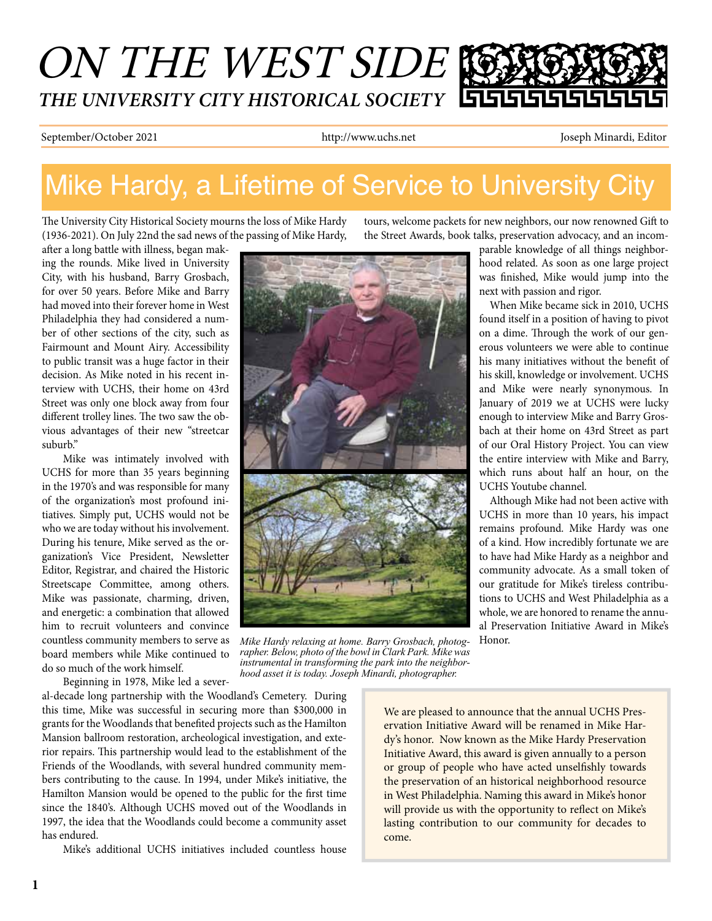# ON THE WEST SIDE *THE UNIVERSITY CITY HISTORICAL SOCIETY*

September/October 2021 http://www.uchs.net Joseph Minardi, Editor

## Mike Hardy, a Lifetime of Service to University City

The University City Historical Society mourns the loss of Mike Hardy (1936-2021). On July 22nd the sad news of the passing of Mike Hardy,

after a long battle with illness, began making the rounds. Mike lived in University City, with his husband, Barry Grosbach, for over 50 years. Before Mike and Barry had moved into their forever home in West Philadelphia they had considered a number of other sections of the city, such as Fairmount and Mount Airy. Accessibility to public transit was a huge factor in their decision. As Mike noted in his recent interview with UCHS, their home on 43rd Street was only one block away from four different trolley lines. The two saw the obvious advantages of their new "streetcar suburb."

Mike was intimately involved with UCHS for more than 35 years beginning in the 1970's and was responsible for many of the organization's most profound initiatives. Simply put, UCHS would not be who we are today without his involvement. During his tenure, Mike served as the organization's Vice President, Newsletter Editor, Registrar, and chaired the Historic Streetscape Committee, among others. Mike was passionate, charming, driven, and energetic: a combination that allowed him to recruit volunteers and convince countless community members to serve as board members while Mike continued to do so much of the work himself.

*Mike Hardy relaxing at home. Barry Grosbach, photog-* Honor. *rapher. Below, photo of the bowl in Clark Park. Mike was instrumental in transforming the park into the neighborhood asset it is today. Joseph Minardi, photographer.*

tours, welcome packets for new neighbors, our now renowned Gift to the Street Awards, book talks, preservation advocacy, and an incom-

> parable knowledge of all things neighborhood related. As soon as one large project was finished, Mike would jump into the next with passion and rigor.

> When Mike became sick in 2010, UCHS found itself in a position of having to pivot on a dime. Through the work of our generous volunteers we were able to continue his many initiatives without the benefit of his skill, knowledge or involvement. UCHS and Mike were nearly synonymous. In January of 2019 we at UCHS were lucky enough to interview Mike and Barry Grosbach at their home on 43rd Street as part of our Oral History Project. You can view the entire interview with Mike and Barry, which runs about half an hour, on the UCHS Youtube channel.

> Although Mike had not been active with UCHS in more than 10 years, his impact remains profound. Mike Hardy was one of a kind. How incredibly fortunate we are to have had Mike Hardy as a neighbor and community advocate. As a small token of our gratitude for Mike's tireless contributions to UCHS and West Philadelphia as a whole, we are honored to rename the annual Preservation Initiative Award in Mike's

Beginning in 1978, Mike led a several-decade long partnership with the Woodland's Cemetery. During this time, Mike was successful in securing more than \$300,000 in grants for the Woodlands that benefited projects such as the Hamilton Mansion ballroom restoration, archeological investigation, and exterior repairs. This partnership would lead to the establishment of the Friends of the Woodlands, with several hundred community members contributing to the cause. In 1994, under Mike's initiative, the Hamilton Mansion would be opened to the public for the first time since the 1840's. Although UCHS moved out of the Woodlands in 1997, the idea that the Woodlands could become a community asset has endured.

Mike's additional UCHS initiatives included countless house

We are pleased to announce that the annual UCHS Preservation Initiative Award will be renamed in Mike Hardy's honor. Now known as the Mike Hardy Preservation Initiative Award, this award is given annually to a person or group of people who have acted unselfishly towards the preservation of an historical neighborhood resource in West Philadelphia. Naming this award in Mike's honor will provide us with the opportunity to reflect on Mike's lasting contribution to our community for decades to come.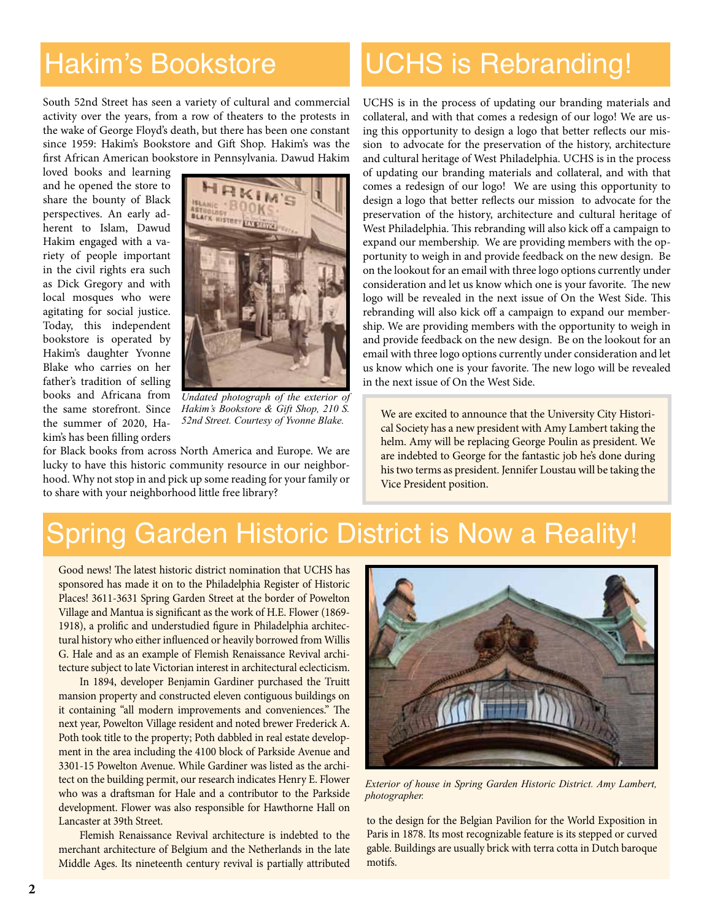### Hakim's Bookstore

South 52nd Street has seen a variety of cultural and commercial activity over the years, from a row of theaters to the protests in the wake of George Floyd's death, but there has been one constant since 1959: Hakim's Bookstore and Gift Shop. Hakim's was the first African American bookstore in Pennsylvania. Dawud Hakim

loved books and learning and he opened the store to share the bounty of Black perspectives. An early adherent to Islam, Dawud Hakim engaged with a variety of people important in the civil rights era such as Dick Gregory and with local mosques who were agitating for social justice. Today, this independent bookstore is operated by Hakim's daughter Yvonne Blake who carries on her father's tradition of selling books and Africana from the same storefront. Since the summer of 2020, Hakim's has been filling orders



 *Undated photograph of the exterior of Hakim's Bookstore & Gift Shop, 210 S. 52nd Street. Courtesy of Yvonne Blake.*

for Black books from across North America and Europe. We are lucky to have this historic community resource in our neighborhood. Why not stop in and pick up some reading for your family or to share with your neighborhood little free library?

## UCHS is Rebranding!

UCHS is in the process of updating our branding materials and collateral, and with that comes a redesign of our logo! We are using this opportunity to design a logo that better reflects our mission to advocate for the preservation of the history, architecture and cultural heritage of West Philadelphia. UCHS is in the process of updating our branding materials and collateral, and with that comes a redesign of our logo! We are using this opportunity to design a logo that better reflects our mission to advocate for the preservation of the history, architecture and cultural heritage of West Philadelphia. This rebranding will also kick off a campaign to expand our membership. We are providing members with the opportunity to weigh in and provide feedback on the new design. Be on the lookout for an email with three logo options currently under consideration and let us know which one is your favorite. The new logo will be revealed in the next issue of On the West Side. This rebranding will also kick off a campaign to expand our membership. We are providing members with the opportunity to weigh in and provide feedback on the new design. Be on the lookout for an email with three logo options currently under consideration and let us know which one is your favorite. The new logo will be revealed in the next issue of On the West Side.

We are excited to announce that the University City Historical Society has a new president with Amy Lambert taking the helm. Amy will be replacing George Poulin as president. We are indebted to George for the fantastic job he's done during his two terms as president. Jennifer Loustau will be taking the Vice President position.

### Spring Garden Historic District is Now a Reality!

Good news! The latest historic district nomination that UCHS has sponsored has made it on to the Philadelphia Register of Historic Places! 3611-3631 Spring Garden Street at the border of Powelton Village and Mantua is significant as the work of H.E. Flower (1869- 1918), a prolific and understudied figure in Philadelphia architectural history who either influenced or heavily borrowed from Willis G. Hale and as an example of Flemish Renaissance Revival architecture subject to late Victorian interest in architectural eclecticism.

In 1894, developer Benjamin Gardiner purchased the Truitt mansion property and constructed eleven contiguous buildings on it containing "all modern improvements and conveniences." The next year, Powelton Village resident and noted brewer Frederick A. Poth took title to the property; Poth dabbled in real estate development in the area including the 4100 block of Parkside Avenue and 3301-15 Powelton Avenue. While Gardiner was listed as the architect on the building permit, our research indicates Henry E. Flower who was a draftsman for Hale and a contributor to the Parkside development. Flower was also responsible for Hawthorne Hall on Lancaster at 39th Street.

Flemish Renaissance Revival architecture is indebted to the merchant architecture of Belgium and the Netherlands in the late Middle Ages. Its nineteenth century revival is partially attributed



*Exterior of house in Spring Garden Historic District. Amy Lambert, photographer.*

to the design for the Belgian Pavilion for the World Exposition in Paris in 1878. Its most recognizable feature is its stepped or curved gable. Buildings are usually brick with terra cotta in Dutch baroque motifs.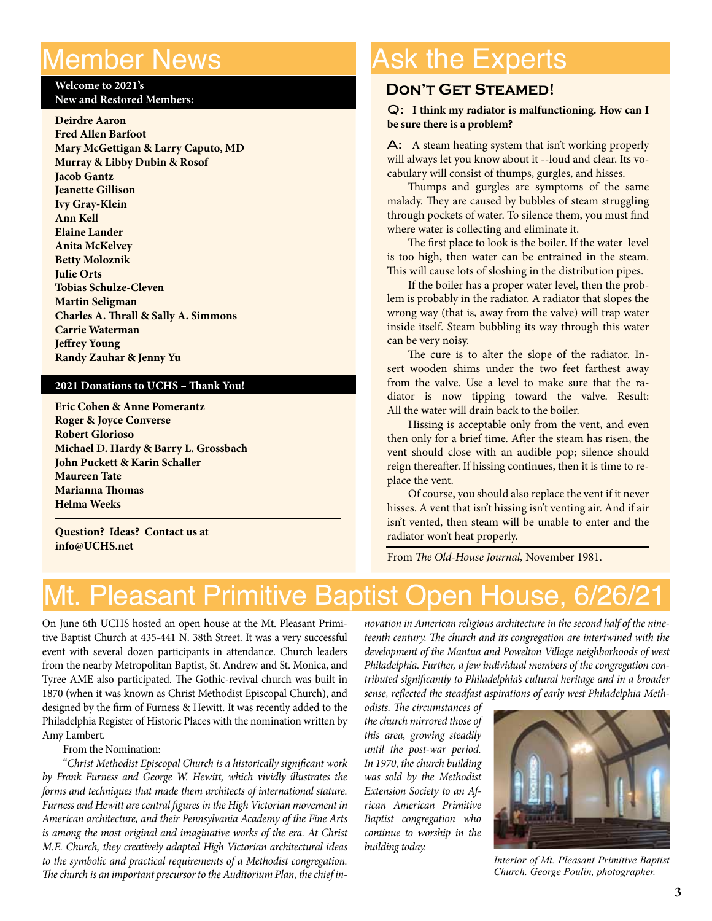#### Member News

#### **Welcome to 2021's New and Restored Members:**

I

**Deirdre Aaron Fred Allen Barfoot Mary McGettigan & Larry Caputo, MD Murray & Libby Dubin & Rosof Jacob Gantz Jeanette Gillison Ivy Gray-Klein Ann Kell Elaine Lander Anita McKelvey Betty Moloznik Julie Orts Tobias Schulze-Cleven Martin Seligman Charles A. Thrall & Sally A. Simmons Carrie Waterman Jeffrey Young Randy Zauhar & Jenny Yu**

#### **2021 Donations to UCHS – Thank You!**

**Eric Cohen & Anne Pomerantz Roger & Joyce Converse Robert Glorioso Michael D. Hardy & Barry L. Grossbach John Puckett & Karin Schaller Maureen Tate Marianna Thomas Helma Weeks**

**Question? Ideas? Contact us at info@UCHS.net**

## Ask the Experts

#### **Don't Get Steamed!**

#### Q: **I think my radiator is malfunctioning. How can I be sure there is a problem?**

A: A steam heating system that isn't working properly will always let you know about it --loud and clear. Its vocabulary will consist of thumps, gurgles, and hisses.

Thumps and gurgles are symptoms of the same malady. They are caused by bubbles of steam struggling through pockets of water. To silence them, you must find where water is collecting and eliminate it.

The first place to look is the boiler. If the water level is too high, then water can be entrained in the steam. This will cause lots of sloshing in the distribution pipes.

If the boiler has a proper water level, then the problem is probably in the radiator. A radiator that slopes the wrong way (that is, away from the valve) will trap water inside itself. Steam bubbling its way through this water can be very noisy.

The cure is to alter the slope of the radiator. Insert wooden shims under the two feet farthest away from the valve. Use a level to make sure that the radiator is now tipping toward the valve. Result: All the water will drain back to the boiler.

Hissing is acceptable only from the vent, and even then only for a brief time. After the steam has risen, the vent should close with an audible pop; silence should reign thereafter. If hissing continues, then it is time to replace the vent.

Of course, you should also replace the vent if it never hisses. A vent that isn't hissing isn't venting air. And if air isn't vented, then steam will be unable to enter and the radiator won't heat properly.

From *The Old-House Journal,* November 1981.

### Mt. Pleasant Primitive Baptist Open House, 6/26/2

On June 6th UCHS hosted an open house at the Mt. Pleasant Primitive Baptist Church at 435-441 N. 38th Street. It was a very successful event with several dozen participants in attendance. Church leaders from the nearby Metropolitan Baptist, St. Andrew and St. Monica, and Tyree AME also participated. The Gothic-revival church was built in 1870 (when it was known as Christ Methodist Episcopal Church), and designed by the firm of Furness & Hewitt. It was recently added to the Philadelphia Register of Historic Places with the nomination written by Amy Lambert.

From the Nomination:

"*Christ Methodist Episcopal Church is a historically significant work by Frank Furness and George W. Hewitt, which vividly illustrates the forms and techniques that made them architects of international stature. Furness and Hewitt are central figures in the High Victorian movement in American architecture, and their Pennsylvania Academy of the Fine Arts is among the most original and imaginative works of the era. At Christ M.E. Church, they creatively adapted High Victorian architectural ideas to the symbolic and practical requirements of a Methodist congregation. The church is an important precursor to the Auditorium Plan, the chief in-*

*novation in American religious architecture in the second half of the nineteenth century. The church and its congregation are intertwined with the development of the Mantua and Powelton Village neighborhoods of west Philadelphia. Further, a few individual members of the congregation contributed significantly to Philadelphia's cultural heritage and in a broader sense, reflected the steadfast aspirations of early west Philadelphia Meth-*

*odists. The circumstances of the church mirrored those of this area, growing steadily until the post-war period. In 1970, the church building was sold by the Methodist Extension Society to an African American Primitive Baptist congregation who continue to worship in the building today.*



*Interior of Mt. Pleasant Primitive Baptist Church. George Poulin, photographer.*